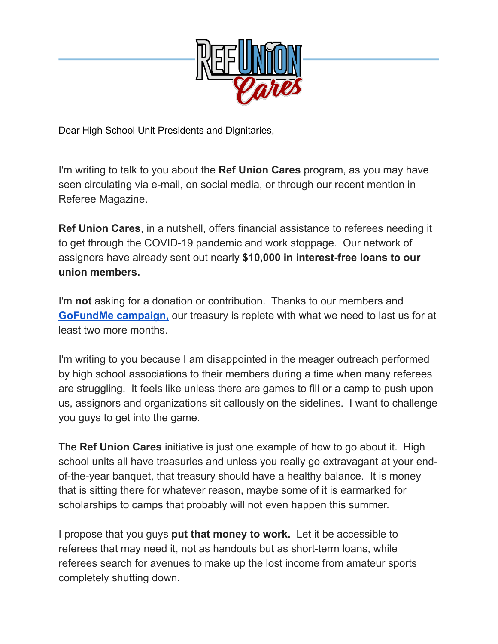

Dear High School Unit Presidents and Dignitaries,

I'm writing to talk to you about the **Ref Union Cares** program, as you may have seen circulating via e-mail, on social media, or through our recent mention in Referee Magazine.

**Ref Union Cares**, in a nutshell, offers financial assistance to referees needing it to get through the COVID-19 pandemic and work stoppage. Our network of assignors have already sent out nearly **\$10,000 in interest-free loans to our union members.**

I'm **not** asking for a donation or contribution. Thanks to our members and **[GoFundMe campaign,](http://www.gofundme.com/refunioncares)** our treasury is replete with what we need to last us for at least two more months.

I'm writing to you because I am disappointed in the meager outreach performed by high school associations to their members during a time when many referees are struggling. It feels like unless there are games to fill or a camp to push upon us, assignors and organizations sit callously on the sidelines. I want to challenge you guys to get into the game.

The **Ref Union Cares** initiative is just one example of how to go about it. High school units all have treasuries and unless you really go extravagant at your endof-the-year banquet, that treasury should have a healthy balance. It is money that is sitting there for whatever reason, maybe some of it is earmarked for scholarships to camps that probably will not even happen this summer.

I propose that you guys **put that money to work.** Let it be accessible to referees that may need it, not as handouts but as short-term loans, while referees search for avenues to make up the lost income from amateur sports completely shutting down.